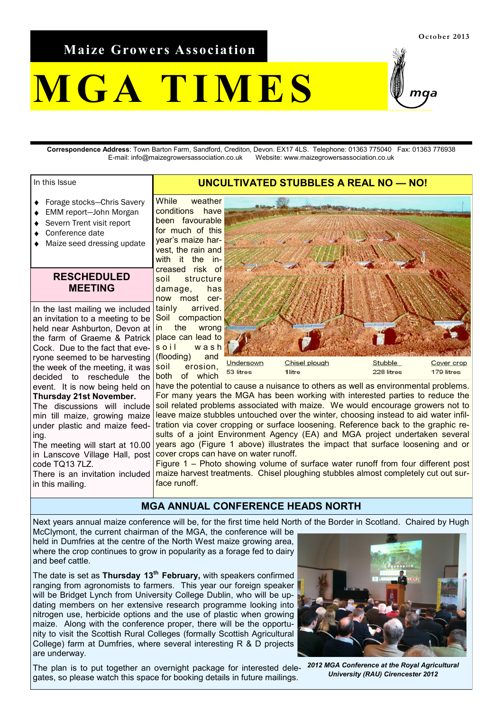**Maize Growers Association**

# **M G A T I M E S**

**Correspondence Address**: Town Barton Farm, Sandford, Crediton, Devon. EX17 4LS. Telephone: 01363 775040 Fax: 01363 776938 E-mail: info@maizegrowersassociation.co.uk Website: www.maizegrowersassociation.co.uk

#### In this Issue

- Forage stocks—Chris Savery  $\bullet$
- EMM report—John Morgan
- Severn Trent visit report
- Conference date
- Maize seed dressing update

#### **RESCHEDULED MEETING**

an invitation to a meeting to be Soil compaction the farm of Graeme & Patrick place can lead to ryone seemed to be harvesting (flooding) and In the last mailing we included held near Ashburton, Devon at in Cock. Due to the fact that evethe week of the meeting, it was decided to reschedule the event. It is now being held on **Thursday 21st November.** The discussions will include min till maize, growing maize under plastic and maize feeding. The meeting will start at 10.00 in Lanscove Village Hall, post

code TQ13 7LZ. There is an invitation included in this mailing.

While weather conditions have been favourable for much of this year's maize harvest, the rain and with it the increased risk of soil structure damage, has now most certainly arrived. the wrong  $\vert$ soil wash soil erosion, both of which

# Undersown Chisel plough **Stubble** Cover crop 228 litres 53 litres 1litre 179 litres

have the potential to cause a nuisance to others as well as environmental problems. For many years the MGA has been working with interested parties to reduce the soil related problems associated with maize. We would encourage growers not to leave maize stubbles untouched over the winter, choosing instead to aid water infiltration via cover cropping or surface loosening. Reference back to the graphic results of a joint Environment Agency (EA) and MGA project undertaken several years ago (Figure 1 above) illustrates the impact that surface loosening and or cover crops can have on water runoff.

**UNCULTIVATED STUBBLES A REAL NO — NO!**

Figure 1 – Photo showing volume of surface water runoff from four different post maize harvest treatments. Chisel ploughing stubbles almost completely cut out surface runoff.

#### **MGA ANNUAL CONFERENCE HEADS NORTH**

Next years annual maize conference will be, for the first time held North of the Border in Scotland. Chaired by Hugh

McClymont, the current chairman of the MGA, the conference will be held in Dumfries at the centre of the North West maize growing area, where the crop continues to grow in popularity as a forage fed to dairy and beef cattle.

 The date is set as **Thursday 13th February,** with speakers confirmed ranging from agronomists to farmers. This year our foreign speaker will be Bridget Lynch from University College Dublin, who will be updating members on her extensive research programme looking into nitrogen use, herbicide options and the use of plastic when growing maize. Along with the conference proper, there will be the opportunity to visit the Scottish Rural Colleges (formally Scottish Agricultural College) farm at Dumfries, where several interesting R & D projects are underway.

The plan is to put together an overnight package for interested dele-*2012 MGA Conference at the Royal Agricultural*  gates, so please watch this space for booking details in future mailings.